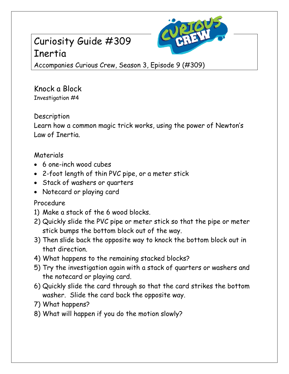# Curiosity Guide #309 Inertia



Accompanies Curious Crew, Season 3, Episode 9 (#309)

Knock a Block Investigation #4

**Description** 

Learn how a common magic trick works, using the power of Newton's Law of Inertia.

## Materials

- 6 one-inch wood cubes
- 2-foot length of thin PVC pipe, or a meter stick
- Stack of washers or quarters
- Notecard or playing card

## Procedure

- 1) Make a stack of the 6 wood blocks.
- 2) Quickly slide the PVC pipe or meter stick so that the pipe or meter stick bumps the bottom block out of the way.
- 3) Then slide back the opposite way to knock the bottom block out in that direction.
- 4) What happens to the remaining stacked blocks?
- 5) Try the investigation again with a stack of quarters or washers and the notecard or playing card.
- 6) Quickly slide the card through so that the card strikes the bottom washer. Slide the card back the opposite way.
- 7) What happens?
- 8) What will happen if you do the motion slowly?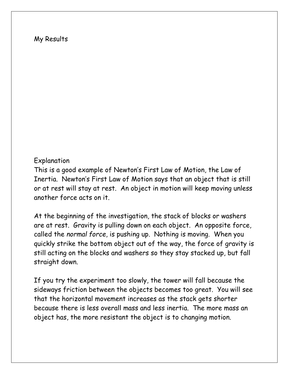#### My Results

#### Explanation

This is a good example of Newton's First Law of Motion, the Law of Inertia. Newton's First Law of Motion says that an object that is still or at rest will stay at rest. An object in motion will keep moving unless another force acts on it.

At the beginning of the investigation, the stack of blocks or washers are at rest. Gravity is pulling down on each object. An opposite force, called the *normal force*, is pushing up. Nothing is moving. When you quickly strike the bottom object out of the way, the force of gravity is still acting on the blocks and washers so they stay stacked up, but fall straight down.

If you try the experiment too slowly, the tower will fall because the sideways friction between the objects becomes too great. You will see that the horizontal movement increases as the stack gets shorter because there is less overall mass and less inertia. The more mass an object has, the more resistant the object is to changing motion.